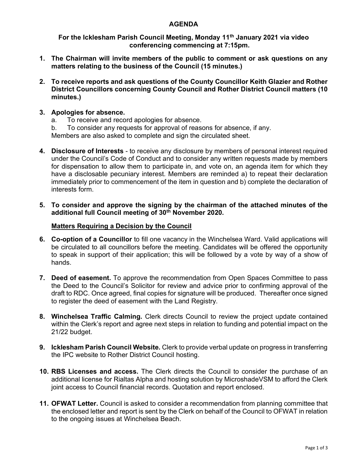## AGENDA

For the Icklesham Parish Council Meeting, Monday 11<sup>th</sup> January 2021 via video conferencing commencing at 7:15pm.

- 1. The Chairman will invite members of the public to comment or ask questions on any matters relating to the business of the Council (15 minutes.)
- 2. To receive reports and ask questions of the County Councillor Keith Glazier and Rother District Councillors concerning County Council and Rother District Council matters (10 minutes.)

## 3. Apologies for absence.

- a. To receive and record apologies for absence.
- b. To consider any requests for approval of reasons for absence, if any. Members are also asked to complete and sign the circulated sheet.
- 4. Disclosure of Interests to receive any disclosure by members of personal interest required under the Council's Code of Conduct and to consider any written requests made by members for dispensation to allow them to participate in, and vote on, an agenda item for which they have a disclosable pecuniary interest. Members are reminded a) to repeat their declaration immediately prior to commencement of the item in question and b) complete the declaration of interests form.
- 5. To consider and approve the signing by the chairman of the attached minutes of the additional full Council meeting of 30<sup>th</sup> November 2020.

#### Matters Requiring a Decision by the Council

- 6. Co-option of a Councillor to fill one vacancy in the Winchelsea Ward. Valid applications will be circulated to all councillors before the meeting. Candidates will be offered the opportunity to speak in support of their application; this will be followed by a vote by way of a show of hands.
- 7. Deed of easement. To approve the recommendation from Open Spaces Committee to pass the Deed to the Council's Solicitor for review and advice prior to confirming approval of the draft to RDC. Once agreed, final copies for signature will be produced. Thereafter once signed to register the deed of easement with the Land Registry.
- 8. Winchelsea Traffic Calming. Clerk directs Council to review the project update contained within the Clerk's report and agree next steps in relation to funding and potential impact on the 21/22 budget.
- 9. Icklesham Parish Council Website. Clerk to provide verbal update on progress in transferring the IPC website to Rother District Council hosting.
- 10. RBS Licenses and access. The Clerk directs the Council to consider the purchase of an additional license for Rialtas Alpha and hosting solution by MicroshadeVSM to afford the Clerk joint access to Council financial records. Quotation and report enclosed.
- **11. OFWAT Letter.** Council is asked to consider a recommendation from planning committee that the enclosed letter and report is sent by the Clerk on behalf of the Council to OFWAT in relation to the ongoing issues at Winchelsea Beach.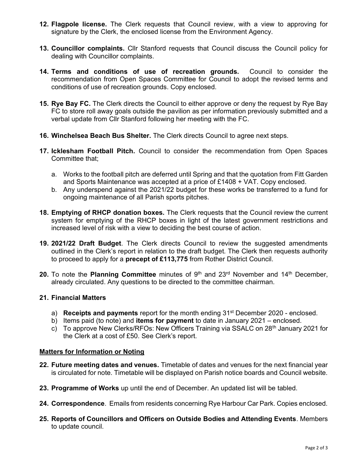- 12. Flagpole license. The Clerk requests that Council review, with a view to approving for signature by the Clerk, the enclosed license from the Environment Agency.
- 13. Councillor complaints. Cllr Stanford requests that Council discuss the Council policy for dealing with Councillor complaints.
- 14. Terms and conditions of use of recreation grounds. Council to consider the recommendation from Open Spaces Committee for Council to adopt the revised terms and conditions of use of recreation grounds. Copy enclosed.
- 15. Rye Bay FC. The Clerk directs the Council to either approve or deny the request by Rye Bay FC to store roll away goals outside the pavilion as per information previously submitted and a verbal update from Cllr Stanford following her meeting with the FC.
- 16. Winchelsea Beach Bus Shelter. The Clerk directs Council to agree next steps.
- 17. Icklesham Football Pitch. Council to consider the recommendation from Open Spaces Committee that;
	- a. Works to the football pitch are deferred until Spring and that the quotation from Fitt Garden and Sports Maintenance was accepted at a price of £1408 + VAT. Copy enclosed.
	- b. Any underspend against the 2021/22 budget for these works be transferred to a fund for ongoing maintenance of all Parish sports pitches.
- 18. Emptying of RHCP donation boxes. The Clerk requests that the Council review the current system for emptying of the RHCP boxes in light of the latest government restrictions and increased level of risk with a view to deciding the best course of action.
- 19. 2021/22 Draft Budget. The Clerk directs Council to review the suggested amendments outlined in the Clerk's report in relation to the draft budget. The Clerk then requests authority to proceed to apply for a **precept of £113,775** from Rother District Council.
- 20. To note the Planning Committee minutes of  $9<sup>th</sup>$  and  $23<sup>rd</sup>$  November and  $14<sup>th</sup>$  December, already circulated. Any questions to be directed to the committee chairman.

# 21. Financial Matters

- a) **Receipts and payments** report for the month ending  $31<sup>st</sup>$  December 2020 enclosed.
- b) Items paid (to note) and items for payment to date in January 2021 enclosed.
- c) To approve New Clerks/RFOs: New Officers Training via SSALC on 28<sup>th</sup> January 2021 for the Clerk at a cost of £50. See Clerk's report.

#### Matters for Information or Noting

- 22. Future meeting dates and venues. Timetable of dates and venues for the next financial year is circulated for note. Timetable will be displayed on Parish notice boards and Council website.
- 23. Programme of Works up until the end of December. An updated list will be tabled.
- 24. Correspondence. Emails from residents concerning Rye Harbour Car Park. Copies enclosed.
- 25. Reports of Councillors and Officers on Outside Bodies and Attending Events. Members to update council.